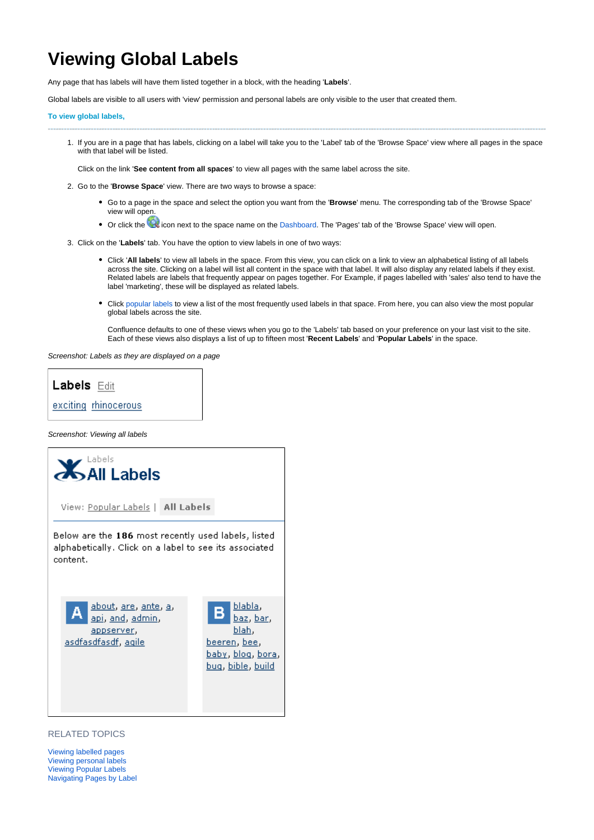## **Viewing Global Labels**

Any page that has labels will have them listed together in a block, with the heading '**Labels**'.

Global labels are visible to all users with 'view' permission and personal labels are only visible to the user that created them.

## **To view global labels,**

1. If you are in a page that has labels, clicking on a label will take you to the 'Label' tab of the 'Browse Space' view where all pages in the space with that label will be listed.

Click on the link '**See content from all spaces**' to view all pages with the same label across the site.

- 2. Go to the '**Browse Space**' view. There are two ways to browse a space:
	- Go to a page in the space and select the option you want from the '**Browse**' menu. The corresponding tab of the 'Browse Space' view will open.
	- Or click the  $\mathbb Q$  icon next to the space name on the Dashboard. The 'Pages' tab of the 'Browse Space' view will open.
- 3. Click on the '**Labels**' tab. You have the option to view labels in one of two ways:
	- Click 'All labels' to view all labels in the space. From this view, you can click on a link to view an alphabetical listing of all labels across the site. Clicking on a label will list all content in the space with that label. It will also display any related labels if they exist. Related labels are labels that frequently appear on pages together. For Example, if pages labelled with 'sales' also tend to have the label 'marketing', these will be displayed as related labels.
	- Click [popular labels](https://wikis.nyu.edu/display/DOC/Viewing+Popular+Labels) to view a list of the most frequently used labels in that space. From here, you can also view the most popular global labels across the site.

Confluence defaults to one of these views when you go to the 'Labels' tab based on your preference on your last visit to the site. Each of these views also displays a list of up to fifteen most '**Recent Labels**' and '**Popular Labels**' in the space.

Screenshot: Labels as they are displayed on a page

## Labels Edit exciting rhinocerous

Screenshot: Viewing all labels



RELATED TOPICS

[Viewing labelled pages](https://wikis.nyu.edu/display/DOC/Viewing+labelled+pages) [Viewing personal labels](https://wikis.nyu.edu/display/DOC/Viewing+personal+labels) [Viewing Popular Labels](https://wikis.nyu.edu/display/DOC/Viewing+Popular+Labels) [Navigating Pages by Label](https://wikis.nyu.edu/display/DOC/Navigating+Pages+by+Label)